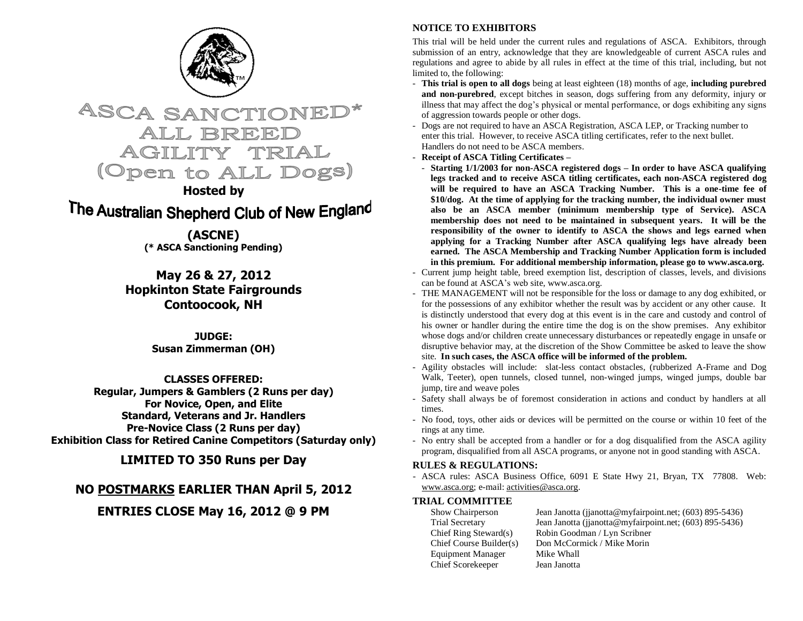

**ASCA SANCTIONEL** ALL BREEI TRIAL AGILITY (Open to ALL Dogs)

**Hosted by**

The Australian Shepherd Club of New England

**(ASCNE) (\* ASCA Sanctioning Pending)**

**May 26 & 27, 2012 Hopkinton State Fairgrounds Contoocook, NH**

> **JUDGE: Susan Zimmerman (OH)**

**CLASSES OFFERED: Regular, Jumpers & Gamblers (2 Runs per day) For Novice, Open, and Elite Standard, Veterans and Jr. Handlers Pre-Novice Class (2 Runs per day) Exhibition Class for Retired Canine Competitors (Saturday only)**

**LIMITED TO 350 Runs per Day**

## **NO POSTMARKS EARLIER THAN April 5, 2012**

**ENTRIES CLOSE May 16, 2012 @ 9 PM**

## **NOTICE TO EXHIBITORS**

This trial will be held under the current rules and regulations of ASCA. Exhibitors, through submission of an entry, acknowledge that they are knowledgeable of current ASCA rules and regulations and agree to abide by all rules in effect at the time of this trial, including, but not limited to, the following:

- **This trial is open to all dogs** being at least eighteen (18) months of age, **including purebred and non-purebred**, except bitches in season, dogs suffering from any deformity, injury or illness that may affect the dog"s physical or mental performance, or dogs exhibiting any signs of aggression towards people or other dogs.
- Dogs are not required to have an ASCA Registration, ASCA LEP, or Tracking number to enter this trial. However, to receive ASCA titling certificates, refer to the next bullet. Handlers do not need to be ASCA members.
- **Receipt of ASCA Titling Certificates –**
- **Starting 1/1/2003 for non-ASCA registered dogs – In order to have ASCA qualifying legs tracked and to receive ASCA titling certificates, each non-ASCA registered dog will be required to have an ASCA Tracking Number. This is a one-time fee of \$10/dog. At the time of applying for the tracking number, the individual owner must also be an ASCA member (minimum membership type of Service). ASCA membership does not need to be maintained in subsequent years. It will be the responsibility of the owner to identify to ASCA the shows and legs earned when applying for a Tracking Number after ASCA qualifying legs have already been earned. The ASCA Membership and Tracking Number Application form is included in this premium. For additional membership information, please go to www.asca.org.**
- Current jump height table, breed exemption list, description of classes, levels, and divisions can be found at ASCA"s web site, www.asca.org.
- THE MANAGEMENT will not be responsible for the loss or damage to any dog exhibited, or for the possessions of any exhibitor whether the result was by accident or any other cause. It is distinctly understood that every dog at this event is in the care and custody and control of his owner or handler during the entire time the dog is on the show premises. Any exhibitor whose dogs and/or children create unnecessary disturbances or repeatedly engage in unsafe or disruptive behavior may, at the discretion of the Show Committee be asked to leave the show site. **In such cases, the ASCA office will be informed of the problem.**
- Agility obstacles will include: slat-less contact obstacles, (rubberized A-Frame and Dog Walk, Teeter), open tunnels, closed tunnel, non-winged jumps, winged jumps, double bar jump, tire and weave poles
- Safety shall always be of foremost consideration in actions and conduct by handlers at all times.
- No food, toys, other aids or devices will be permitted on the course or within 10 feet of the rings at any time.
- No entry shall be accepted from a handler or for a dog disqualified from the ASCA agility program, disqualified from all ASCA programs, or anyone not in good standing with ASCA.

## **RULES & REGULATIONS:**

- ASCA rules: ASCA Business Office, 6091 E State Hwy 21, Bryan, TX 77808. Web: [www.asca.org;](http://www.asca.org/) e-mail: [activities@asca.org.](mailto:activities@asca.org) 

# **TRIAL COMMITTEE**<br>Show Chairperson

Jean Janotta (jjanotta@myfairpoint.net; (603) 895-5436) Trial Secretary Jean Janotta (jjanotta@myfairpoint.net; (603) 895-5436)<br>Chief Ring Steward(s) Robin Goodman / Lyn Scribner Robin Goodman / Lyn Scribner Chief Course Builder(s) Don McCormick / Mike Morin Equipment Manager Mike Whall Chief Scorekeeper Jean Janotta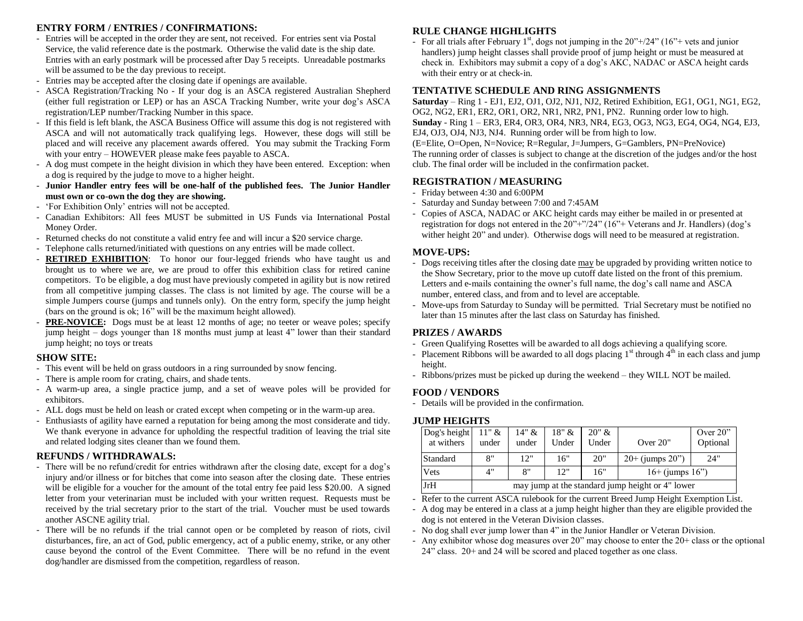## **ENTRY FORM / ENTRIES / CONFIRMATIONS:**

- Entries will be accepted in the order they are sent, not received. For entries sent via Postal Service, the valid reference date is the postmark. Otherwise the valid date is the ship date. Entries with an early postmark will be processed after Day 5 receipts. Unreadable postmarks will be assumed to be the day previous to receipt.
- Entries may be accepted after the closing date if openings are available.
- ASCA Registration/Tracking No If your dog is an ASCA registered Australian Shepherd (either full registration or LEP) or has an ASCA Tracking Number, write your dog"s ASCA registration/LEP number/Tracking Number in this space.
- If this field is left blank, the ASCA Business Office will assume this dog is not registered with ASCA and will not automatically track qualifying legs. However, these dogs will still be placed and will receive any placement awards offered. You may submit the Tracking Form with your entry – HOWEVER please make fees payable to ASCA.
- A dog must compete in the height division in which they have been entered. Exception: when a dog is required by the judge to move to a higher height.
- **Junior Handler entry fees will be one-half of the published fees. The Junior Handler must own or co-own the dog they are showing.**
- "For Exhibition Only" entries will not be accepted.
- Canadian Exhibitors: All fees MUST be submitted in US Funds via International Postal Money Order.
- Returned checks do not constitute a valid entry fee and will incur a \$20 service charge.
- Telephone calls returned/initiated with questions on any entries will be made collect.
- **RETIRED EXHIBITION**: To honor our four-legged friends who have taught us and brought us to where we are, we are proud to offer this exhibition class for retired canine competitors. To be eligible, a dog must have previously competed in agility but is now retired from all competitive jumping classes. The class is not limited by age. The course will be a simple Jumpers course (jumps and tunnels only). On the entry form, specify the jump height (bars on the ground is ok; 16" will be the maximum height allowed).
- **PRE-NOVICE:** Dogs must be at least 12 months of age; no teeter or weave poles; specify jump height – dogs younger than 18 months must jump at least 4" lower than their standard jump height; no toys or treats

#### **SHOW SITE:**

- This event will be held on grass outdoors in a ring surrounded by snow fencing.
- There is ample room for crating, chairs, and shade tents.
- A warm-up area, a single practice jump, and a set of weave poles will be provided for exhibitors.
- ALL dogs must be held on leash or crated except when competing or in the warm-up area.
- Enthusiasts of agility have earned a reputation for being among the most considerate and tidy. We thank everyone in advance for upholding the respectful tradition of leaving the trial site and related lodging sites cleaner than we found them.

#### **REFUNDS / WITHDRAWALS:**

- There will be no refund/credit for entries withdrawn after the closing date, except for a dog"s injury and/or illness or for bitches that come into season after the closing date. These entries will be eligible for a voucher for the amount of the total entry fee paid less \$20.00. A signed letter from your veterinarian must be included with your written request. Requests must be received by the trial secretary prior to the start of the trial. Voucher must be used towards another ASCNE agility trial.
- There will be no refunds if the trial cannot open or be completed by reason of riots, civil disturbances, fire, an act of God, public emergency, act of a public enemy, strike, or any other cause beyond the control of the Event Committee. There will be no refund in the event dog/handler are dismissed from the competition, regardless of reason.

### **RULE CHANGE HIGHLIGHTS**

- For all trials after February 1<sup>st</sup>, dogs not jumping in the  $20^{\prime\prime}$ +/24" (16"+ vets and junior handlers) jump height classes shall provide proof of jump height or must be measured at check in. Exhibitors may submit a copy of a dog"s AKC, NADAC or ASCA height cards with their entry or at check-in.

#### **TENTATIVE SCHEDULE AND RING ASSIGNMENTS**

**Saturday** – Ring 1 - EJ1, EJ2, OJ1, OJ2, NJ1, NJ2, Retired Exhibition, EG1, OG1, NG1, EG2, OG2, NG2, ER1, ER2, OR1, OR2, NR1, NR2, PN1, PN2. Running order low to high. **Sunday** - Ring 1 – ER3, ER4, OR3, OR4, NR3, NR4, EG3, OG3, NG3, EG4, OG4, NG4, EJ3, EJ4, OJ3, OJ4, NJ3, NJ4. Running order will be from high to low.

(E=Elite, O=Open, N=Novice; R=Regular, J=Jumpers, G=Gamblers, PN=PreNovice) The running order of classes is subject to change at the discretion of the judges and/or the host club. The final order will be included in the confirmation packet.

#### **REGISTRATION / MEASURING**

- Friday between 4:30 and 6:00PM
- Saturday and Sunday between 7:00 and 7:45AM
- Copies of ASCA, NADAC or AKC height cards may either be mailed in or presented at registration for dogs not entered in the  $20''$ +"/24" (16"+ Veterans and Jr. Handlers) (dog's wither height 20" and under). Otherwise dogs will need to be measured at registration.

#### **MOVE-UPS:**

- Dogs receiving titles after the closing date may be upgraded by providing written notice to the Show Secretary, prior to the move up cutoff date listed on the front of this premium. Letters and e-mails containing the owner's full name, the dog's call name and ASCA number, entered class, and from and to level are acceptable.
- Move-ups from Saturday to Sunday will be permitted. Trial Secretary must be notified no later than 15 minutes after the last class on Saturday has finished.

#### **PRIZES / AWARDS**

- Green Qualifying Rosettes will be awarded to all dogs achieving a qualifying score.
- Placement Ribbons will be awarded to all dogs placing  $1<sup>st</sup>$  through  $4<sup>th</sup>$  in each class and jump height.
- Ribbons/prizes must be picked up during the weekend they WILL NOT be mailed.

#### **FOOD / VENDORS**

- Details will be provided in the confirmation.

#### **JUMP HEIGHTS**

| Dog's height | $11"$ &                                          | $14" \&$ | 18" & | 20" & |                      | Over $20$ " |
|--------------|--------------------------------------------------|----------|-------|-------|----------------------|-------------|
| at withers   | under                                            | under    | Under | Under | Over 20"             | Optional    |
| Standard     | 8"                                               | 12"      | 16"   | 20"   | $20+$ (jumps $20"$ ) | 24"         |
| Vets         | 4"                                               | 8"       | 12"   | 16"   | $16+$ (jumps $16"$ ) |             |
| JrH          | may jump at the standard jump height or 4" lower |          |       |       |                      |             |

- Refer to the current ASCA rulebook for the current Breed Jump Height Exemption List.

- A dog may be entered in a class at a jump height higher than they are eligible provided the dog is not entered in the Veteran Division classes.
- No dog shall ever jump lower than 4" in the Junior Handler or Veteran Division.
- Any exhibitor whose dog measures over 20" may choose to enter the 20+ class or the optional 24" class. 20+ and 24 will be scored and placed together as one class.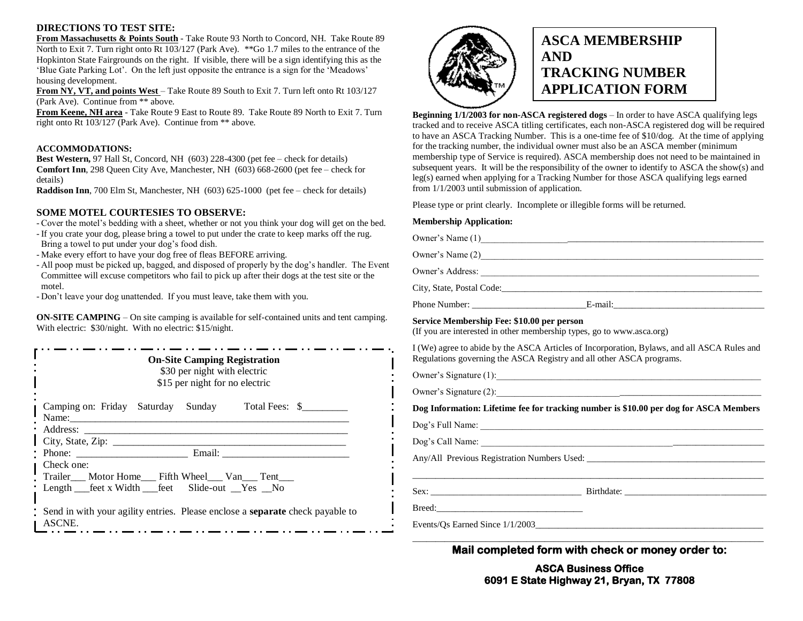#### **DIRECTIONS TO TEST SITE:**

**From Massachusetts & Points South** - Take Route 93 North to Concord, NH. Take Route 89 North to Exit 7. Turn right onto Rt 103/127 (Park Ave). \*\*Go 1.7 miles to the entrance of the Hopkinton State Fairgrounds on the right. If visible, there will be a sign identifying this as the "Blue Gate Parking Lot". On the left just opposite the entrance is a sign for the "Meadows" housing development.

**From NY, VT, and points West** – Take Route 89 South to Exit 7. Turn left onto Rt 103/127 (Park Ave). Continue from \*\* above.

**From Keene, NH area** - Take Route 9 East to Route 89. Take Route 89 North to Exit 7. Turn right onto Rt 103/127 (Park Ave). Continue from \*\* above.

#### **ACCOMMODATIONS:**

**Best Western,** 97 Hall St, Concord, NH (603) 228-4300 (pet fee – check for details) **Comfort Inn**, 298 Queen City Ave, Manchester, NH (603) 668-2600 (pet fee – check for details)

**Raddison Inn**, 700 Elm St, Manchester, NH (603) 625-1000 (pet fee – check for details)

#### **SOME MOTEL COURTESIES TO OBSERVE:**

- Cover the motel"s bedding with a sheet, whether or not you think your dog will get on the bed.

- If you crate your dog, please bring a towel to put under the crate to keep marks off the rug. Bring a towel to put under your dog"s food dish.
- Make every effort to have your dog free of fleas BEFORE arriving.
- All poop must be picked up, bagged, and disposed of properly by the dog"s handler. The Event Committee will excuse competitors who fail to pick up after their dogs at the test site or the motel.
- Don"t leave your dog unattended. If you must leave, take them with you.

**ON-SITE CAMPING** – On site camping is available for self-contained units and tent camping. With electric: \$30/night. With no electric: \$15/night.

| <b>On-Site Camping Registration</b><br>\$30 per night with electric<br>\$15 per night for no electric                                                                                                                                                                                                                                                                                                                                                                                                                                     |  |  |  |  |  |  |
|-------------------------------------------------------------------------------------------------------------------------------------------------------------------------------------------------------------------------------------------------------------------------------------------------------------------------------------------------------------------------------------------------------------------------------------------------------------------------------------------------------------------------------------------|--|--|--|--|--|--|
| Camping on: Friday Saturday Sunday Total Fees: \$<br>Name: $\frac{1}{\sqrt{1-\frac{1}{2}}}\frac{1}{\sqrt{1-\frac{1}{2}}}\frac{1}{\sqrt{1-\frac{1}{2}}}\frac{1}{\sqrt{1-\frac{1}{2}}}\frac{1}{\sqrt{1-\frac{1}{2}}}\frac{1}{\sqrt{1-\frac{1}{2}}}\frac{1}{\sqrt{1-\frac{1}{2}}}\frac{1}{\sqrt{1-\frac{1}{2}}}\frac{1}{\sqrt{1-\frac{1}{2}}}\frac{1}{\sqrt{1-\frac{1}{2}}}\frac{1}{\sqrt{1-\frac{1}{2}}}\frac{1}{\sqrt{1-\frac{1}{2}}}\frac{1}{\sqrt{1-\frac{1}{2}}}\frac{1}{\$<br><u> 1980 - Jan Stein Berlin, Amerikaansk politiker (</u> |  |  |  |  |  |  |
|                                                                                                                                                                                                                                                                                                                                                                                                                                                                                                                                           |  |  |  |  |  |  |
|                                                                                                                                                                                                                                                                                                                                                                                                                                                                                                                                           |  |  |  |  |  |  |
|                                                                                                                                                                                                                                                                                                                                                                                                                                                                                                                                           |  |  |  |  |  |  |
|                                                                                                                                                                                                                                                                                                                                                                                                                                                                                                                                           |  |  |  |  |  |  |
| Check one:<br>Trailer____ Motor Home____ Fifth Wheel____ Van____ Tent____                                                                                                                                                                                                                                                                                                                                                                                                                                                                 |  |  |  |  |  |  |
| : Length __feet x Width __feet Slide-out _Yes _No                                                                                                                                                                                                                                                                                                                                                                                                                                                                                         |  |  |  |  |  |  |
| Send in with your agility entries. Please enclose a <b>separate</b> check payable to<br>ASCNE.                                                                                                                                                                                                                                                                                                                                                                                                                                            |  |  |  |  |  |  |



## **ASCA MEMBERSHIP AND TRACKING NUMBER APPLICATION FORM**

**Beginning 1/1/2003 for non-ASCA registered dogs** – In order to have ASCA qualifying legs tracked and to receive ASCA titling certificates, each non-ASCA registered dog will be required to have an ASCA Tracking Number. This is a one-time fee of \$10/dog. At the time of applying for the tracking number, the individual owner must also be an ASCA member (minimum membership type of Service is required). ASCA membership does not need to be maintained in subsequent years. It will be the responsibility of the owner to identify to ASCA the show(s) and leg(s) earned when applying for a Tracking Number for those ASCA qualifying legs earned from 1/1/2003 until submission of application.

Please type or print clearly. Incomplete or illegible forms will be returned.

#### **Membership Application:**

Owner's Name (1) Owner's Name (2) Owner"s Address: \_\_\_\_\_\_\_\_\_\_\_\_\_\_\_\_\_\_\_\_\_\_\_\_\_\_\_\_\_\_\_\_\_\_\_\_\_\_\_\_\_\_\_\_\_\_\_\_\_\_\_\_\_\_\_\_\_\_\_\_\_ City, State, Postal Code:\_\_\_\_\_\_\_\_\_\_\_\_\_\_\_\_\_\_\_\_\_\_\_\_\_\_\_\_\_\_\_\_\_\_\_\_\_\_\_\_\_\_\_\_\_\_\_\_\_\_\_\_\_\_\_\_\_ Phone Number: \_\_\_\_\_\_\_\_\_\_\_\_\_\_\_\_\_\_\_\_\_\_\_\_\_E-mail:\_\_\_\_\_\_\_\_\_\_\_\_\_\_\_\_\_\_\_\_\_\_\_\_\_\_\_\_\_\_\_\_\_ **Service Membership Fee: \$10.00 per person** (If you are interested in other membership types, go to www.asca.org) I (We) agree to abide by the ASCA Articles of Incorporation, Bylaws, and all ASCA Rules and Regulations governing the ASCA Registry and all other ASCA programs.

Owner"s Signature (1):\_\_\_\_\_\_\_\_\_\_\_\_\_\_\_\_\_\_\_\_\_\_\_\_\_\_\_\_\_\_\_\_\_\_\_\_\_\_\_\_\_\_\_\_\_\_\_\_\_\_\_\_\_\_\_\_\_\_

Owner"s Signature (2):\_\_\_\_\_\_\_\_\_\_\_\_\_\_\_\_\_\_\_\_\_\_\_\_\_\_\_\_\_\_\_\_\_\_\_\_\_\_\_\_\_\_\_\_\_\_\_\_\_\_\_\_\_\_\_\_\_\_

**Dog Information: Lifetime fee for tracking number is \$10.00 per dog for ASCA Members**

Dog"s Full Name: \_\_\_\_\_\_\_\_\_\_\_\_\_\_\_\_\_\_\_\_\_\_\_\_\_\_\_\_\_\_\_\_\_\_\_\_\_\_\_\_\_\_\_\_\_\_\_\_\_\_\_\_\_\_\_\_\_\_\_\_\_\_

Dog"s Call Name: \_\_\_\_\_\_\_\_\_\_\_\_\_\_\_\_\_\_\_\_\_\_\_\_\_\_\_\_\_\_\_\_\_\_\_\_\_\_\_\_\_\_\_\_\_\_\_\_\_\_\_\_\_\_\_\_\_\_\_\_\_\_

Any/All Previous Registration Numbers Used: \_\_\_\_\_\_\_\_\_\_\_\_\_\_\_\_\_\_\_\_\_\_\_\_\_\_\_\_\_\_\_\_\_\_\_\_\_\_\_

Sex: \_\_\_\_\_\_\_\_\_\_\_\_\_\_\_\_\_\_\_\_\_\_\_\_\_\_\_\_\_\_\_\_\_ Birthdate: \_\_\_\_\_\_\_\_\_\_\_\_\_\_\_\_\_\_\_\_\_\_\_\_\_\_\_\_\_\_\_

Breed:\_\_\_\_\_\_\_\_\_\_\_\_\_\_\_\_\_\_\_\_\_\_\_\_\_\_\_\_\_\_\_\_

Events/Os Earned Since  $1/1/2003$ 

\_\_\_\_\_\_\_\_\_\_\_\_\_\_\_\_\_\_\_\_\_\_\_\_\_\_\_\_\_\_\_\_\_\_\_\_\_\_\_\_\_\_\_\_\_\_\_\_\_\_\_\_\_\_\_\_\_\_\_\_\_\_\_\_\_\_\_\_\_\_\_\_\_\_\_\_\_ **Mail completed form with check or money order to:** 

> **ASCA Business Office 6091 E State Highway 21, Bryan, TX 77808**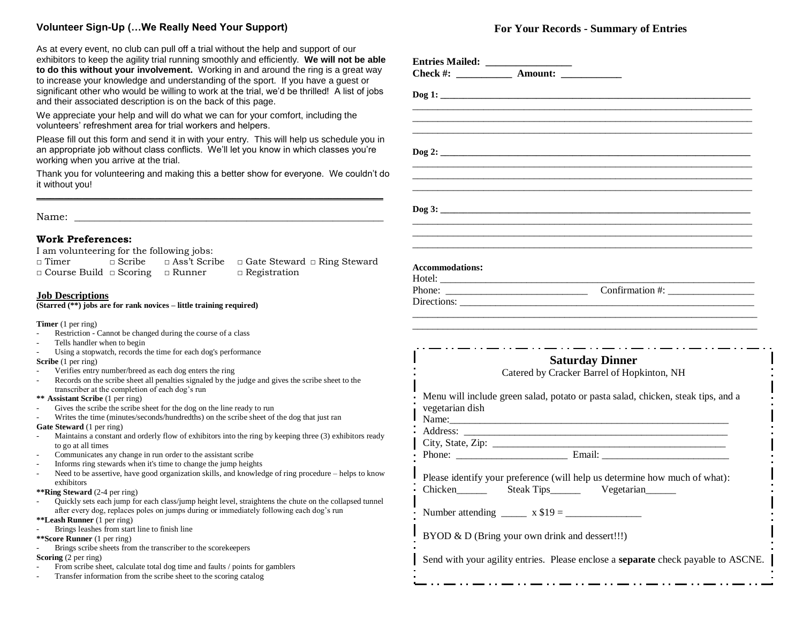## **Volunteer Sign-Up (…We Really Need Your Support)**

As at every event, no club can pull off a trial without the help and support of our exhibitors to keep the agility trial running smoothly and efficiently. **We will not be able to do this without your involvement.** Working in and around the ring is a great way to increase your knowledge and understanding of the sport. If you have a guest or significant other who would be willing to work at the trial, we'd be thrilled! A list of jobs and their associated description is on the back of this page.

We appreciate your help and will do what we can for your comfort, including the volunteers' refreshment area for trial workers and helpers.

Please fill out this form and send it in with your entry. This will help us schedule you in an appropriate job without class conflicts. We'll let you know in which classes you're working when you arrive at the trial.

Thank you for volunteering and making this a better show for everyone. We couldn't do it without you! **\_\_\_\_\_\_\_\_\_\_\_\_\_\_\_\_\_\_\_\_\_\_\_\_\_\_\_\_\_\_\_\_\_\_\_\_\_\_\_\_\_\_\_\_\_\_\_\_\_\_\_\_\_\_\_\_\_\_\_\_\_\_\_\_\_\_\_\_\_\_\_\_\_\_\_\_**

Name:

#### **Work Preferences:**

I am volunteering for the following jobs:

| $\Box$ Timer                                     | $\Box$ Scribe | $\Box$ Ass't Scribe $\Box$ Gate Steward $\Box$ Ring Steward |
|--------------------------------------------------|---------------|-------------------------------------------------------------|
| $\Box$ Course Build $\Box$ Scoring $\Box$ Runner |               | $\Box$ Registration                                         |

#### **Job Descriptions**

**(Starred (\*\*) jobs are for rank novices – little training required)**

**Timer** (1 per ring)

- Restriction Cannot be changed during the course of a class
- Tells handler when to begin
- Using a stopwatch, records the time for each dog's performance

**Scribe** (1 per ring)

- Verifies entry number/breed as each dog enters the ring
- Records on the scribe sheet all penalties signaled by the judge and gives the scribe sheet to the transcriber at the completion of each dog"s run

**\*\* Assistant Scribe** (1 per ring)

- Gives the scribe the scribe sheet for the dog on the line ready to run
- Writes the time (minutes/seconds/hundredths) on the scribe sheet of the dog that just ran
- **Gate Steward** (1 per ring)
- Maintains a constant and orderly flow of exhibitors into the ring by keeping three (3) exhibitors ready to go at all times
- Communicates any change in run order to the assistant scribe
- Informs ring stewards when it's time to change the jump heights
- Need to be assertive, have good organization skills, and knowledge of ring procedure helps to know exhibitors

**\*\*Ring Steward** (2-4 per ring)

- Quickly sets each jump for each class/jump height level, straightens the chute on the collapsed tunnel after every dog, replaces poles on jumps during or immediately following each dog's run
- **\*\*Leash Runner** (1 per ring)
- Brings leashes from start line to finish line
- **\*\*Score Runner** (1 per ring)
- Brings scribe sheets from the transcriber to the scorekeepers
- **Scoring** (2 per ring)
- From scribe sheet, calculate total dog time and faults / points for gamblers
- Transfer information from the scribe sheet to the scoring catalog

## **For Your Records - Summary of Entries**

| $\log 1$ :                                                                                                                                                                                   |  |
|----------------------------------------------------------------------------------------------------------------------------------------------------------------------------------------------|--|
|                                                                                                                                                                                              |  |
|                                                                                                                                                                                              |  |
|                                                                                                                                                                                              |  |
|                                                                                                                                                                                              |  |
|                                                                                                                                                                                              |  |
|                                                                                                                                                                                              |  |
|                                                                                                                                                                                              |  |
| <b>Accommodations:</b>                                                                                                                                                                       |  |
|                                                                                                                                                                                              |  |
| Directions:                                                                                                                                                                                  |  |
| مساوره والمستوار والمستوار والمستوار والمستوار والمستوار والمستوارة المستوار والمستوار والمستوار والمستوار والمستوار<br><b>Saturday Dinner</b><br>Catered by Cracker Barrel of Hopkinton, NH |  |
| Menu will include green salad, potato or pasta salad, chicken, steak tips, and a<br>vegetarian dish                                                                                          |  |
|                                                                                                                                                                                              |  |
|                                                                                                                                                                                              |  |
| Name:                                                                                                                                                                                        |  |
|                                                                                                                                                                                              |  |
| Phone: Email: Email:                                                                                                                                                                         |  |
| Please identify your preference (will help us determine how much of what):<br>Chicken _______ Steak Tips_______ Vegetarian______                                                             |  |
| Number attending $\frac{1}{2}$ x \$19 = $\frac{1}{2}$                                                                                                                                        |  |
| BYOD & D (Bring your own drink and dessert!!!)                                                                                                                                               |  |